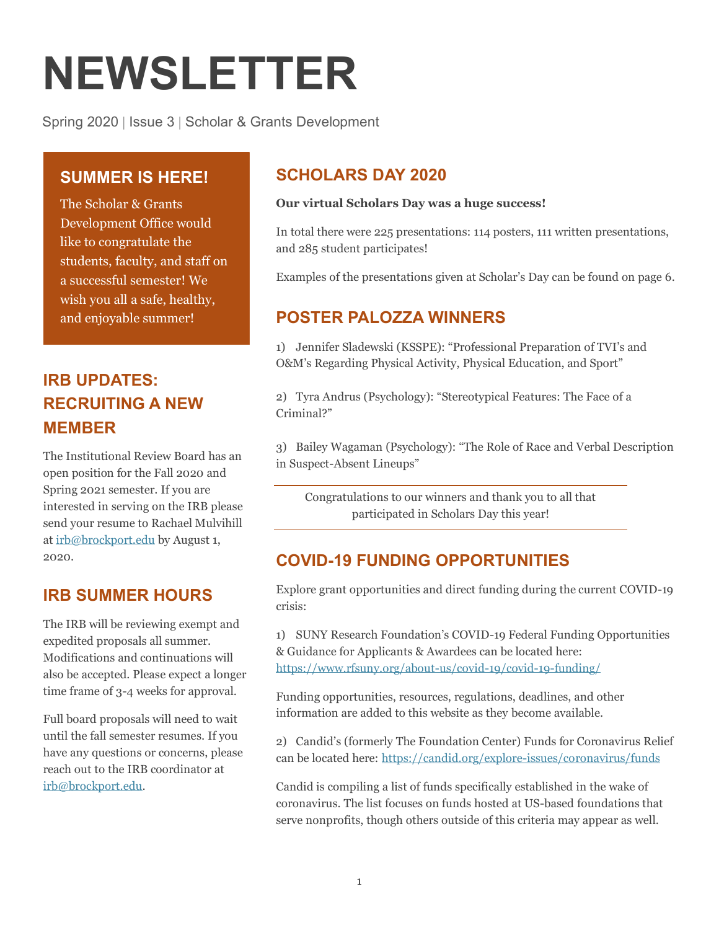# **NEWSLETTER**

Spring 2020 | Issue 3 | Scholar & Grants Development

## **SUMMER IS HERE!**

 The Scholar & Grants Development Office would like to congratulate the students, faculty, and staff on a successful semester! We wish you all a safe, healthy, and enjoyable summer!

# **RECRUITING A NEW IRB UPDATES: MEMBER**

 The Institutional Review Board has an open position for the Fall 2020 and Spring 2021 semester. If you are interested in serving on the IRB please send your resume to Rachael Mulvihill at [irb@brockport.edu](mailto:irb@brockport.edu) by August 1, 2020.

# **IRB SUMMER HOURS**

 The IRB will be reviewing exempt and expedited proposals all summer. Modifications and continuations will also be accepted. Please expect a longer time frame of 3-4 weeks for approval.

 Full board proposals will need to wait until the fall semester resumes. If you have any questions or concerns, please reach out to the IRB coordinator at [irb@brockport.edu.](mailto:irb@brockport.edu)

# **SCHOLARS DAY 2020**

#### **Our virtual Scholars Day was a huge success!**

 In total there were 225 presentations: 114 posters, 111 written presentations, and 285 student participates!

Examples of the presentations given at Scholar's Day can be found on page 6.

## **POSTER PALOZZA WINNERS**

 1) Jennifer Sladewski (KSSPE): "Professional Preparation of TVI's and O&M's Regarding Physical Activity, Physical Education, and Sport"

 2) Tyra Andrus (Psychology): "Stereotypical Features: The Face of a Criminal?"

 3) Bailey Wagaman (Psychology): "The Role of Race and Verbal Description in Suspect-Absent Lineups"

 Congratulations to our winners and thank you to all that participated in Scholars Day this year!

## **COVID-19 FUNDING OPPORTUNITIES**

 Explore grant opportunities and direct funding during the current COVID-19 crisis:

 1) SUNY Research Foundation's COVID-19 Federal Funding Opportunities & Guidance for Applicants & Awardees can be located here: <https://www.rfsuny.org/about-us/covid-19/covid-19-funding/>

 Funding opportunities, resources, regulations, deadlines, and other information are added to this website as they become available.

 2) Candid's (formerly The Foundation Center) Funds for Coronavirus Relief can be located here: <https://candid.org/explore-issues/coronavirus/funds>

 Candid is compiling a list of funds specifically established in the wake of coronavirus. The list focuses on funds hosted at US-based foundations that serve nonprofits, though others outside of this criteria may appear as well.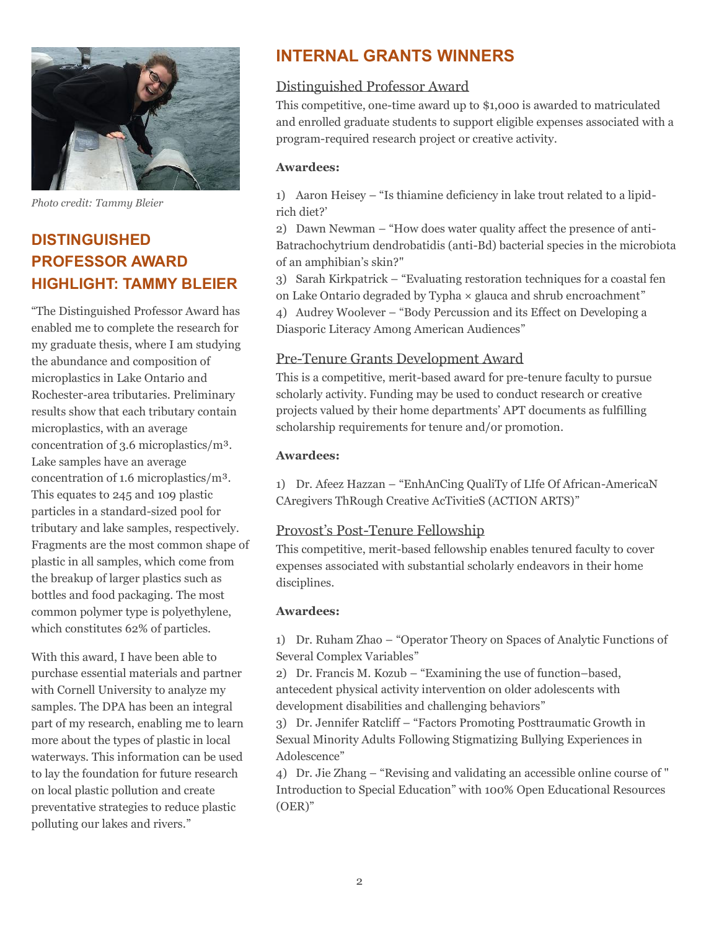

 *Photo credit: Tammy Bleier*

# **PROFESSOR AWARD HIGHLIGHT: TAMMY BLEIER DISTINGUISHED**

 "The Distinguished Professor Award has enabled me to complete the research for my graduate thesis, where I am studying the abundance and composition of microplastics in Lake Ontario and Rochester-area tributaries. Preliminary results show that each tributary contain microplastics, with an average concentration of 3.6 microplastics/m³. Lake samples have an average concentration of 1.6 microplastics/m³. This equates to 245 and 109 plastic particles in a standard-sized pool for tributary and lake samples, respectively. Fragments are the most common shape of plastic in all samples, which come from the breakup of larger plastics such as bottles and food packaging. The most common polymer type is polyethylene, which constitutes 62% of particles.

 With this award, I have been able to purchase essential materials and partner with Cornell University to analyze my samples. The DPA has been an integral part of my research, enabling me to learn more about the types of plastic in local waterways. This information can be used to lay the foundation for future research on local plastic pollution and create preventative strategies to reduce plastic polluting our lakes and rivers."

## **INTERNAL GRANTS WINNERS**

#### Distinguished Professor Award

 This competitive, one-time award up to \$1,000 is awarded to matriculated and enrolled graduate students to support eligible expenses associated with a program-required research project or creative activity.

#### **Awardees:**

 1) Aaron Heisey – "Is thiamine deficiency in lake trout related to a lipidrich diet?'

 2) Dawn Newman – "How does water quality affect the presence of anti- Batrachochytrium dendrobatidis (anti-Bd) bacterial species in the microbiota of an amphibian's skin?"

 3) Sarah Kirkpatrick – "Evaluating restoration techniques for a coastal fen on Lake Ontario degraded by Typha × glauca and shrub encroachment"

 4) Audrey Woolever – "Body Percussion and its Effect on Developing a Diasporic Literacy Among American Audiences"

#### Pre-Tenure Grants Development Award

 This is a competitive, merit-based award for pre-tenure faculty to pursue scholarly activity. Funding may be used to conduct research or creative projects valued by their home departments' APT documents as fulfilling scholarship requirements for tenure and/or promotion.

#### **Awardees:**

 1) Dr. Afeez Hazzan – "EnhAnCing QualiTy of LIfe Of African-AmericaN CAregivers ThRough Creative AcTivitieS (ACTION ARTS)"

#### Provost's Post-Tenure Fellowship

 This competitive, merit-based fellowship enables tenured faculty to cover expenses associated with substantial scholarly endeavors in their home disciplines.

#### **Awardees:**

 1) Dr. Ruham Zhao – "Operator Theory on Spaces of Analytic Functions of Several Complex Variables"

 2) Dr. Francis M. Kozub – "Examining the use of function–based, antecedent physical activity intervention on older adolescents with development disabilities and challenging behaviors"

 3) Dr. Jennifer Ratcliff – "Factors Promoting Posttraumatic Growth in Sexual Minority Adults Following Stigmatizing Bullying Experiences in Adolescence"

 4) Dr. Jie Zhang – "Revising and validating an accessible online course of " Introduction to Special Education" with 100% Open Educational Resources (OER)"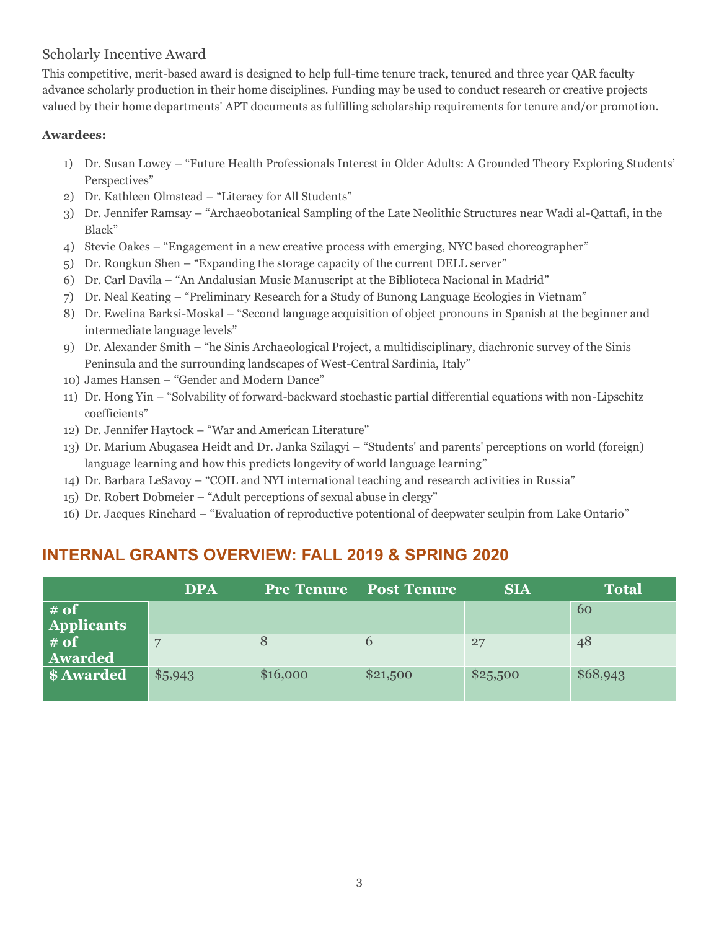#### Scholarly Incentive Award

This competitive, merit-based award is designed to help full-time tenure track, tenured and three year QAR faculty advance scholarly production in their home disciplines. Funding may be used to conduct research or creative projects valued by their home departments' APT documents as fulfilling scholarship requirements for tenure and/or promotion.

#### **Awardees:**

- 1) Dr. Susan Lowey "Future Health Professionals Interest in Older Adults: A Grounded Theory Exploring Students' Perspectives"
- 2) Dr. Kathleen Olmstead "Literacy for All Students"
- 3) Dr. Jennifer Ramsay "Archaeobotanical Sampling of the Late Neolithic Structures near Wadi al-Qattafi, in the Black"
- 4) Stevie Oakes "Engagement in a new creative process with emerging, NYC based choreographer"
- 5) Dr. Rongkun Shen "Expanding the storage capacity of the current DELL server"
- 6) Dr. Carl Davila "An Andalusian Music Manuscript at the Biblioteca Nacional in Madrid"
- 7) Dr. Neal Keating "Preliminary Research for a Study of Bunong Language Ecologies in Vietnam"
- 8) Dr. Ewelina Barksi-Moskal "Second language acquisition of object pronouns in Spanish at the beginner and intermediate language levels"
- 9) Dr. Alexander Smith "he Sinis Archaeological Project, a multidisciplinary, diachronic survey of the Sinis Peninsula and the surrounding landscapes of West-Central Sardinia, Italy"
- 10) James Hansen "Gender and Modern Dance"
- 11) Dr. Hong Yin "Solvability of forward-backward stochastic partial differential equations with non-Lipschitz coefficients"
- 12) Dr. Jennifer Haytock "War and American Literature"
- 13) Dr. Marium Abugasea Heidt and Dr. Janka Szilagyi "Students' and parents' perceptions on world (foreign) language learning and how this predicts longevity of world language learning"
- 14) Dr. Barbara LeSavoy "COIL and NYI international teaching and research activities in Russia"
- 15) Dr. Robert Dobmeier "Adult perceptions of sexual abuse in clergy"
- 16) Dr. Jacques Rinchard "Evaluation of reproductive potentional of deepwater sculpin from Lake Ontario"

## **INTERNAL GRANTS OVERVIEW: FALL 2019 & SPRING 2020**

|                           | <b>DPA</b>     | <b>Pre Tenure</b> | <b>Post Tenure</b> | <b>SIA</b> | <b>Total</b> |
|---------------------------|----------------|-------------------|--------------------|------------|--------------|
| # of<br><b>Applicants</b> |                |                   |                    |            | 60           |
| $#$ of<br><b>Awarded</b>  | $\overline{ }$ | 8                 | $\theta$           | 27         | 48           |
| \$ Awarded                | \$5,943        | \$16,000          | \$21,500           | \$25,500   | \$68,943     |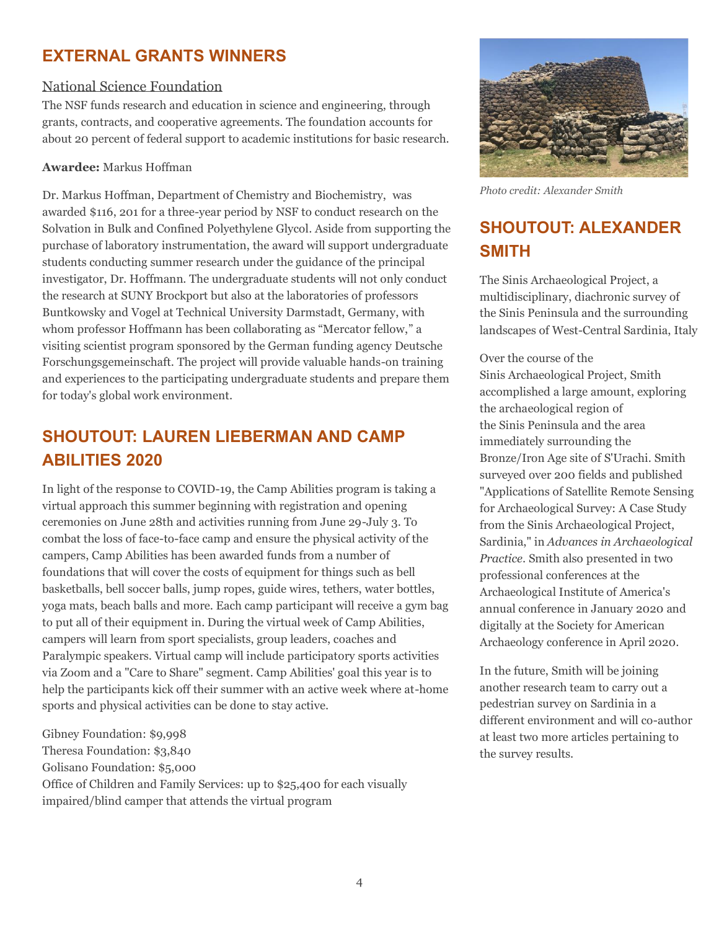## **EXTERNAL GRANTS WINNERS**

#### National Science Foundation

 The NSF funds research and education in science and engineering, through grants, contracts, and cooperative agreements. The foundation accounts for about 20 percent of federal support to academic institutions for basic research.

#### **Awardee:** Markus Hoffman

 awarded \$116, 201 for a three-year period by NSF to conduct research on the Solvation in Bulk and Confined Polyethylene Glycol. Aside from supporting the purchase of laboratory instrumentation, the award will support undergraduate students conducting summer research under the guidance of the principal investigator, Dr. Hoffmann. The undergraduate students will not only conduct the research at SUNY Brockport but also at the laboratories of professors Buntkowsky and Vogel at Technical University Darmstadt, Germany, with whom professor Hoffmann has been collaborating as "Mercator fellow," a visiting scientist program sponsored by the German funding agency Deutsche Forschungsgemeinschaft. The project will provide valuable hands-on training and experiences to the participating undergraduate students and prepare them for today's global work environment. Dr. Markus Hoffman, Department of Chemistry and Biochemistry, was

# **SHOUTOUT: LAUREN LIEBERMAN AND CAMP ABILITIES 2020**

 In light of the response to COVID-19, the Camp Abilities program is taking a virtual approach this summer beginning with registration and opening ceremonies on June 28th and activities running from June 29-July 3. To combat the loss of face-to-face camp and ensure the physical activity of the campers, Camp Abilities has been awarded funds from a number of foundations that will cover the costs of equipment for things such as bell basketballs, bell soccer balls, jump ropes, guide wires, tethers, water bottles, yoga mats, beach balls and more. Each camp participant will receive a gym bag to put all of their equipment in. During the virtual week of Camp Abilities, campers will learn from sport specialists, group leaders, coaches and Paralympic speakers. Virtual camp will include participatory sports activities via Zoom and a "Care to Share" segment. Camp Abilities' goal this year is to help the participants kick off their summer with an active week where at-home sports and physical activities can be done to stay active.

 Office of Children and Family Services: up to \$25,400 for each visually impaired/blind camper that attends the virtual program Gibney Foundation: \$9,998 Theresa Foundation: \$3,840 Golisano Foundation: \$5,000



 *Photo credit: Alexander Smith*

# **SHOUTOUT: ALEXANDER SMITH**

 The Sinis Archaeological Project, a multidisciplinary, diachronic survey of the Sinis Peninsula and the surrounding landscapes of West-Central Sardinia, Italy

 Over the course of the Sinis Archaeological Project, Smith accomplished a large amount, exploring the archaeological region of the Sinis Peninsula and the area immediately surrounding the Bronze/Iron Age site of S'Urachi. Smith surveyed over 200 fields and published "Applications of Satellite Remote Sensing for Archaeological Survey: A Case Study from the Sinis Archaeological Project,  Sardinia," in *Advances in Archaeological Practice*. Smith also presented in two professional conferences at the Archaeological Institute of America's annual conference in January 2020 and digitally at the Society for American Archaeology conference in April 2020.

 In the future, Smith will be joining another research team to carry out a pedestrian survey on Sardinia in a different environment and will co-author at least two more articles pertaining to the survey results.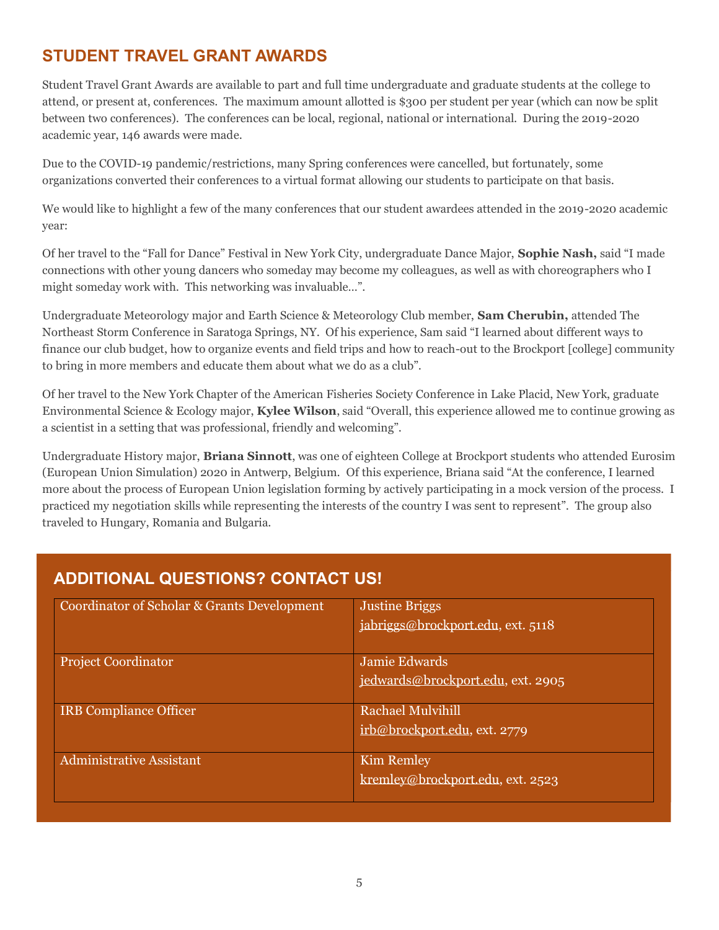# **STUDENT TRAVEL GRANT AWARDS**

 Student Travel Grant Awards are available to part and full time undergraduate and graduate students at the college to attend, or present at, conferences. The maximum amount allotted is \$300 per student per year (which can now be split between two conferences). The conferences can be local, regional, national or international. During the 2019-2020 academic year, 146 awards were made.

 Due to the COVID-19 pandemic/restrictions, many Spring conferences were cancelled, but fortunately, some organizations converted their conferences to a virtual format allowing our students to participate on that basis.

 We would like to highlight a few of the many conferences that our student awardees attended in the 2019-2020 academic year:

 Of her travel to the "Fall for Dance" Festival in New York City, undergraduate Dance Major, **Sophie Nash,** said "I made connections with other young dancers who someday may become my colleagues, as well as with choreographers who I might someday work with. This networking was invaluable…".

 Undergraduate Meteorology major and Earth Science & Meteorology Club member, **Sam Cherubin,** attended The Northeast Storm Conference in Saratoga Springs, NY. Of his experience, Sam said "I learned about different ways to finance our club budget, how to organize events and field trips and how to reach-out to the Brockport [college] community to bring in more members and educate them about what we do as a club".

 Of her travel to the New York Chapter of the American Fisheries Society Conference in Lake Placid, New York, graduate Environmental Science & Ecology major, **Kylee Wilson**, said "Overall, this experience allowed me to continue growing as a scientist in a setting that was professional, friendly and welcoming".

 Undergraduate History major, **Briana Sinnott**, was one of eighteen College at Brockport students who attended Eurosim (European Union Simulation) 2020 in Antwerp, Belgium. Of this experience, Briana said "At the conference, I learned more about the process of European Union legislation forming by actively participating in a mock version of the process. I practiced my negotiation skills while representing the interests of the country I was sent to represent". The group also traveled to Hungary, Romania and Bulgaria.

## **ADDITIONAL QUESTIONS? CONTACT US!**

| Coordinator of Scholar & Grants Development | <b>Justine Briggs</b><br>jabriggs@brockport.edu, ext. 5118 |
|---------------------------------------------|------------------------------------------------------------|
| <b>Project Coordinator</b>                  | <b>Jamie Edwards</b><br>jedwards@brockport.edu, ext. 2905  |
| <b>IRB</b> Compliance Officer               | <b>Rachael Mulvihill</b><br>irb@brockport.edu, ext. 2779   |
| <b>Administrative Assistant</b>             | <b>Kim Remley</b><br>kremley@brockport.edu, ext. 2523      |